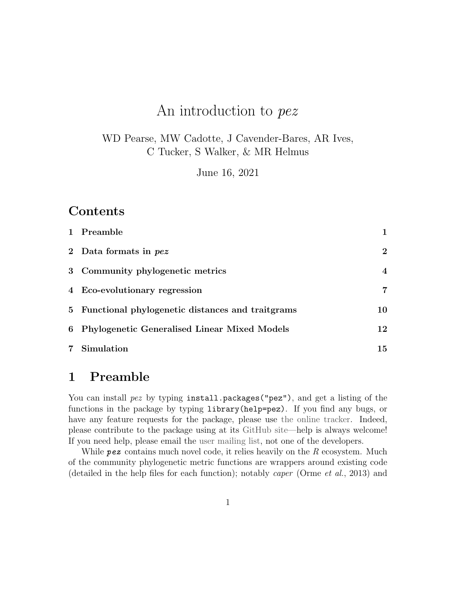# An introduction to pez

WD Pearse, MW Cadotte, J Cavender-Bares, AR Ives, C Tucker, S Walker, & MR Helmus

June 16, 2021

# **Contents**

|                | 1 Preamble                                         |                  |
|----------------|----------------------------------------------------|------------------|
|                | 2 Data formats in pez                              | $\mathbf{2}$     |
|                | 3 Community phylogenetic metrics                   | $\boldsymbol{4}$ |
|                | 4 Eco-evolutionary regression                      | 7                |
|                | 5 Functional phylogenetic distances and traitgrams | 10               |
|                | 6 Phylogenetic Generalised Linear Mixed Models     | 12               |
| $7\phantom{.}$ | Simulation                                         | 15               |

## <span id="page-0-0"></span>1 Preamble

You can install pez by typing install.packages("pez"), and get a listing of the functions in the package by typing library(help=pez). If you find any bugs, or have any feature requests for the package, please use [the online tracker.](http://github.com/willpearse/pez/issues) Indeed, please contribute to the package using at its [GitHub site—](http://github.com/willpearse/pez/issues)help is always welcome! If you need help, please email the [user mailing list,](https://groups.google.com/forum/#!forum/pez_users) not one of the developers.

While  $p$ ez contains much novel code, it relies heavily on the  $R$  ecosystem. Much of the community phylogenetic metric functions are wrappers around existing code (detailed in the help files for each function); notably caper [\(Orme](#page-16-0) et al., [2013\)](#page-16-0) and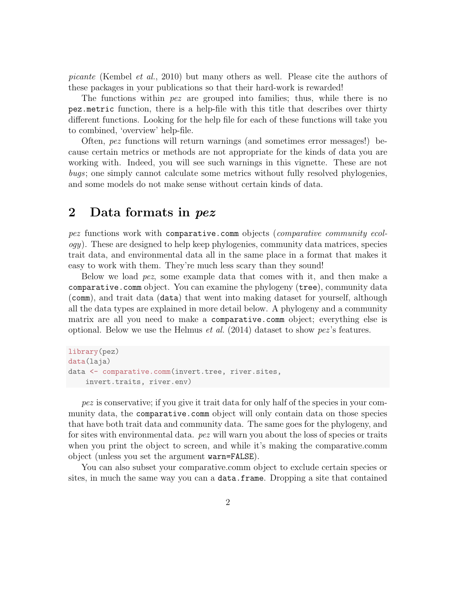picante [\(Kembel](#page-16-1) et al., [2010\)](#page-16-1) but many others as well. Please cite the authors of these packages in your publications so that their hard-work is rewarded!

The functions within pez are grouped into families; thus, while there is no pez.metric function, there is a help-file with this title that describes over thirty different functions. Looking for the help file for each of these functions will take you to combined, 'overview' help-file.

Often, pez functions will return warnings (and sometimes error messages!) because certain metrics or methods are not appropriate for the kinds of data you are working with. Indeed, you will see such warnings in this vignette. These are not bugs; one simply cannot calculate some metrics without fully resolved phylogenies, and some models do not make sense without certain kinds of data.

#### <span id="page-1-0"></span>2 Data formats in *pez*

pez functions work with comparative.comm objects (comparative community ecology). These are designed to help keep phylogenies, community data matrices, species trait data, and environmental data all in the same place in a format that makes it easy to work with them. They're much less scary than they sound!

Below we load pez, some example data that comes with it, and then make a comparative.comm object. You can examine the phylogeny (tree), community data (comm), and trait data (data) that went into making dataset for yourself, although all the data types are explained in more detail below. A phylogeny and a community matrix are all you need to make a comparative.comm object; everything else is optional. Below we use the [Helmus](#page-16-2) *et al.*  $(2014)$  dataset to show *pez*'s features.

```
library(pez)
data(laja)
data <- comparative.comm(invert.tree, river.sites,
    invert.traits, river.env)
```
pez is conservative; if you give it trait data for only half of the species in your community data, the comparative.comm object will only contain data on those species that have both trait data and community data. The same goes for the phylogeny, and for sites with environmental data. pez will warn you about the loss of species or traits when you print the object to screen, and while it's making the comparative.comm object (unless you set the argument warn=FALSE).

You can also subset your comparative.comm object to exclude certain species or sites, in much the same way you can a data.frame. Dropping a site that contained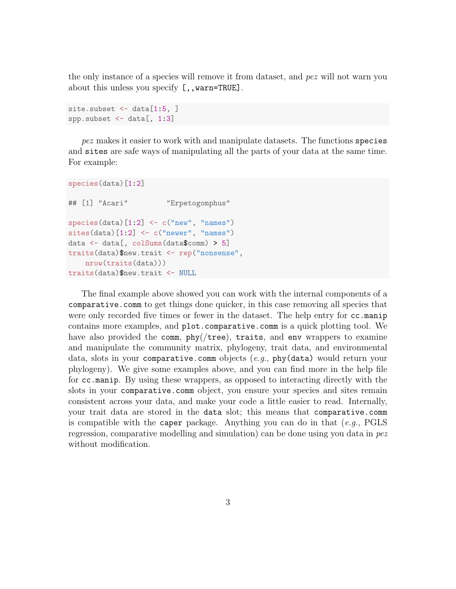the only instance of a species will remove it from dataset, and pez will not warn you about this unless you specify [,, warn=TRUE].

```
site.subset \leq data[1:5, ]spp.subset <- data[, 1:3]
```
pez makes it easier to work with and manipulate datasets. The functions species and sites are safe ways of manipulating all the parts of your data at the same time. For example:

```
species(data)[1:2]
## [1] "Acari" "Erpetogomphus"
species(data)[1:2] <- c("new", "names")
sites(data)[1:2] <- c("newer", "names")
data <- data[, colSums(data$comm) > 5]
traits(data)$new.trait <- rep("nonsense",
   nrow(traits(data)))
traits(data)$new.trait <- NULL
```
The final example above showed you can work with the internal components of a comparative.comm to get things done quicker, in this case removing all species that were only recorded five times or fewer in the dataset. The help entry for  $cc$  manip contains more examples, and plot.comparative.comm is a quick plotting tool. We have also provided the comm,  $phy(free)$ , traits, and env wrappers to examine and manipulate the community matrix, phylogeny, trait data, and environmental data, slots in your comparative.comm objects  $(e,q, phy(data)$  would return your phylogeny). We give some examples above, and you can find more in the help file for cc.manip. By using these wrappers, as opposed to interacting directly with the slots in your comparative.comm object, you ensure your species and sites remain consistent across your data, and make your code a little easier to read. Internally, your trait data are stored in the data slot; this means that comparative.comm is compatible with the caper package. Anything you can do in that  $(e.g., PGLS)$ regression, comparative modelling and simulation) can be done using you data in pez without modification.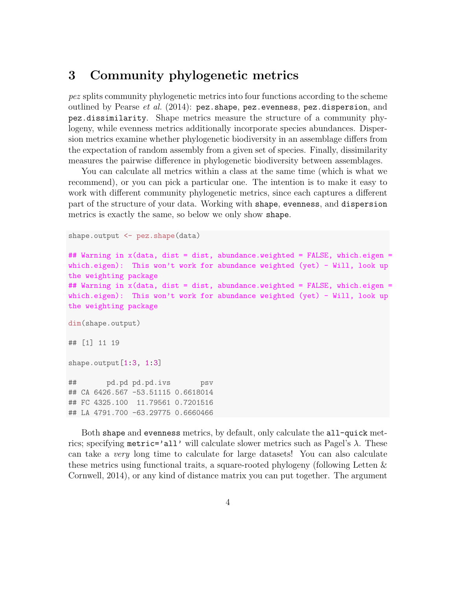# <span id="page-3-0"></span>3 Community phylogenetic metrics

pez splits community phylogenetic metrics into four functions according to the scheme outlined by [Pearse](#page-16-3) *et al.* [\(2014\)](#page-16-3):  $pez$  shape,  $pez$  evenness,  $pez$  dispersion, and pez.dissimilarity. Shape metrics measure the structure of a community phylogeny, while evenness metrics additionally incorporate species abundances. Dispersion metrics examine whether phylogenetic biodiversity in an assemblage differs from the expectation of random assembly from a given set of species. Finally, dissimilarity measures the pairwise difference in phylogenetic biodiversity between assemblages.

You can calculate all metrics within a class at the same time (which is what we recommend), or you can pick a particular one. The intention is to make it easy to work with different community phylogenetic metrics, since each captures a different part of the structure of your data. Working with shape, evenness, and dispersion metrics is exactly the same, so below we only show shape.

```
shape.output <- pez.shape(data)
## Warning in x(data, dist = dist, abundance.weighted = FALSE, which.eigen =
which.eigen): This won't work for abundance weighted (yet) - Will, look up
the weighting package
## Warning in x(data, dist = dist, abundance.weighted = FALSE, which.eigen =
which.eigen): This won't work for abundance weighted (yet) - Will, look up
the weighting package
dim(shape.output)
## [1] 11 19
shape.output [1:3, 1:3]
## pd.pd pd.pd.ivs psv
## CA 6426.567 -53.51115 0.6618014
## FC 4325.100 11.79561 0.7201516
## LA 4791.700 -63.29775 0.6660466
```
Both shape and evenness metrics, by default, only calculate the all-quick metrics; specifying metric='all' will calculate slower metrics such as Pagel's  $\lambda$ . These can take a very long time to calculate for large datasets! You can also calculate these metrics using functional traits, a square-rooted phylogeny (following [Letten &](#page-16-4) [Cornwell,](#page-16-4) [2014\)](#page-16-4), or any kind of distance matrix you can put together. The argument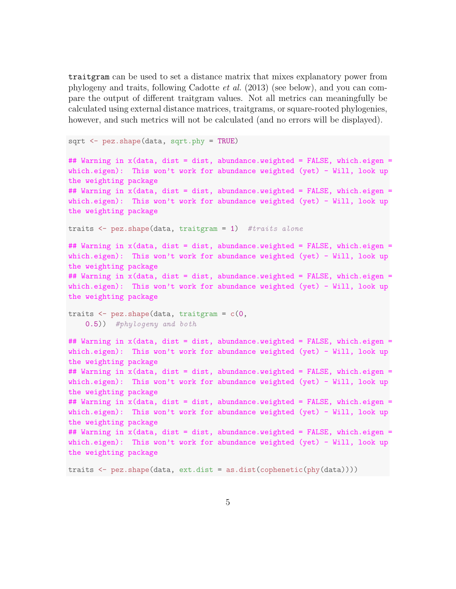traitgram can be used to set a distance matrix that mixes explanatory power from phylogeny and traits, following [Cadotte](#page-15-0) et al. [\(2013\)](#page-15-0) (see below), and you can compare the output of different traitgram values. Not all metrics can meaningfully be calculated using external distance matrices, traitgrams, or square-rooted phylogenies, however, and such metrics will not be calculated (and no errors will be displayed).

```
sqrt \leq pez.shape(data, sqrt.phy = TRUE)
## Warning in x(data, dist = dist, abundance.weighted = FALSE, which.eigen =
which.eigen): This won't work for abundance weighted (yet) - Will, look up
the weighting package
## Warning in x(data, dist = dist, abundance.weighted = FALSE, which.eigen =
which.eigen): This won't work for abundance weighted (yet) - Will, look up
the weighting package
traits <- pez.shape(data, traitgram = 1) #traits alone
## Warning in x(data, dist = dist, abundance.weighted = FALSE, which.eigen =
which.eigen): This won't work for abundance weighted (yet) - Will, look up
the weighting package
## Warning in x(data, dist = dist, abundance.weighted = FALSE, which.eigen =
which.eigen): This won't work for abundance weighted (yet) - Will, look up
the weighting package
traits \leq pez.shape(data, traitgram = c(0,0.5)) #phylogeny and both
## Warning in x(data, dist = dist, abundance.weighted = FALSE, which.eigen =
which.eigen): This won't work for abundance weighted (yet) - Will, look up
the weighting package
## Warning in x(data, dist = dist, abundance.weighted = FALSE, which.eigen =
which.eigen): This won't work for abundance weighted (yet) - Will, look up
the weighting package
## Warning in x(data, dist = dist, abundance.weighted = FALSE, which.eigen =
which.eigen): This won't work for abundance weighted (yet) - Will, look up
the weighting package
## Warning in x(data, dist = dist, abundance.weighted = FALSE, which.eigen =
which.eigen): This won't work for abundance weighted (yet) - Will, look up
the weighting package
```
traits <- pez.shape(data, ext.dist = as.dist(cophenetic(phy(data))))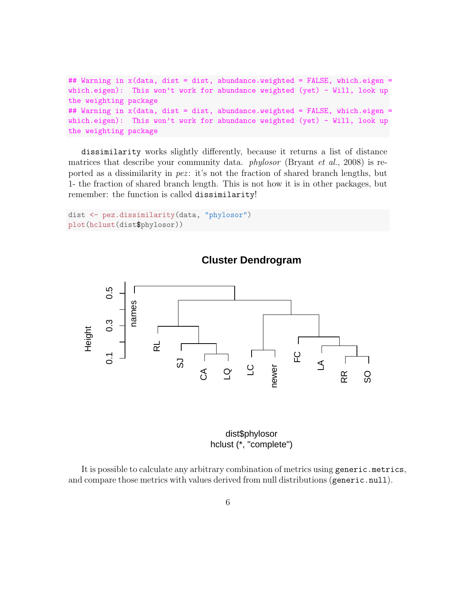```
## Warning in x(data, dist = dist, abundance.weighted = FALSE, which.eigen =
which.eigen): This won't work for abundance weighted (yet) - Will, look up
the weighting package
## Warning in x(data, dist = dist, abundance.weighted = FALSE, which.eigen =
which.eigen): This won't work for abundance weighted (yet) - Will, look up
the weighting package
```
dissimilarity works slightly differently, because it returns a list of distance matrices that describe your community data. phylosor [\(Bryant](#page-15-1) et al., [2008\)](#page-15-1) is reported as a dissimilarity in pez: it's not the fraction of shared branch lengths, but 1- the fraction of shared branch length. This is not how it is in other packages, but remember: the function is called dissimilarity!

```
dist <- pez.dissimilarity(data, "phylosor")
plot(hclust(dist$phylosor))
```


**Cluster Dendrogram**

hclust (\*, "complete") dist\$phylosor

It is possible to calculate any arbitrary combination of metrics using generic.metrics, and compare those metrics with values derived from null distributions (generic.null).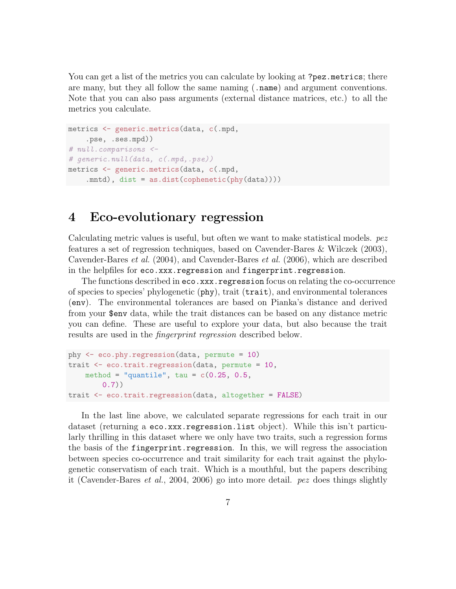You can get a list of the metrics you can calculate by looking at ?pez.metrics; there are many, but they all follow the same naming (.name) and argument conventions. Note that you can also pass arguments (external distance matrices, etc.) to all the metrics you calculate.

```
metrics <- generic.metrics(data, c(.mpd,
    .pse, .ses.mpd))
# null.comparisons <-
# generic.null(data, c(.mpd,.pse))
metrics <- generic.metrics(data, c(.mpd,
    .mntd), dist = as.dist(cophenetic(phy(data))))
```
## <span id="page-6-0"></span>4 Eco-evolutionary regression

Calculating metric values is useful, but often we want to make statistical models. pez features a set of regression techniques, based on [Cavender-Bares & Wilczek](#page-15-2) [\(2003\)](#page-15-2), [Cavender-Bares](#page-15-3) et al. [\(2004\)](#page-15-3), and [Cavender-Bares](#page-15-4) et al. [\(2006\)](#page-15-4), which are described in the helpfiles for eco.xxx.regression and fingerprint.regression.

The functions described in eco.xxx.regression focus on relating the co-occurrence of species to species' phylogenetic (phy), trait (trait), and environmental tolerances (env). The environmental tolerances are based on Pianka's distance and derived from your \$env data, while the trait distances can be based on any distance metric you can define. These are useful to explore your data, but also because the trait results are used in the fingerprint regression described below.

```
phy <- eco.phy.regression(data, permute = 10)
trait <- eco.trait.regression(data, permute = 10,
   method = "quantile", tau = c(0.25, 0.5,0.7))
trait <- eco.trait.regression(data, altogether = FALSE)
```
In the last line above, we calculated separate regressions for each trait in our dataset (returning a eco.xxx.regression.list object). While this isn't particularly thrilling in this dataset where we only have two traits, such a regression forms the basis of the fingerprint.regression. In this, we will regress the association between species co-occurrence and trait similarity for each trait against the phylogenetic conservatism of each trait. Which is a mouthful, but the papers describing it [\(Cavender-Bares](#page-15-3) et al., [2004,](#page-15-3) [2006\)](#page-15-4) go into more detail. pez does things slightly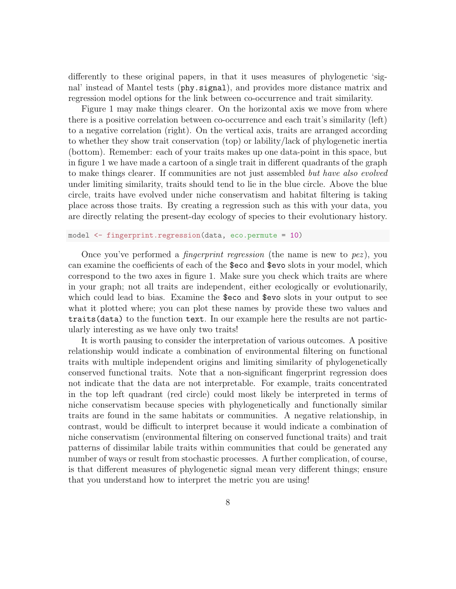differently to these original papers, in that it uses measures of phylogenetic 'signal' instead of Mantel tests (phy.signal), and provides more distance matrix and regression model options for the link between co-occurrence and trait similarity.

Figure [1](#page-8-0) may make things clearer. On the horizontal axis we move from where there is a positive correlation between co-occurrence and each trait's similarity (left) to a negative correlation (right). On the vertical axis, traits are arranged according to whether they show trait conservation (top) or lability/lack of phylogenetic inertia (bottom). Remember: each of your traits makes up one data-point in this space, but in figure [1](#page-8-0) we have made a cartoon of a single trait in different quadrants of the graph to make things clearer. If communities are not just assembled but have also evolved under limiting similarity, traits should tend to lie in the blue circle. Above the blue circle, traits have evolved under niche conservatism and habitat filtering is taking place across those traits. By creating a regression such as this with your data, you are directly relating the present-day ecology of species to their evolutionary history.

model <- fingerprint.regression(data, eco.permute = 10)

Once you've performed a *fingerprint regression* (the name is new to  $pez$ ), you can examine the coefficients of each of the \$eco and \$evo slots in your model, which correspond to the two axes in figure [1.](#page-8-0) Make sure you check which traits are where in your graph; not all traits are independent, either ecologically or evolutionarily, which could lead to bias. Examine the \$eco and \$evo slots in your output to see what it plotted where; you can plot these names by provide these two values and traits(data) to the function text. In our example here the results are not particularly interesting as we have only two traits!

It is worth pausing to consider the interpretation of various outcomes. A positive relationship would indicate a combination of environmental filtering on functional traits with multiple independent origins and limiting similarity of phylogenetically conserved functional traits. Note that a non-significant fingerprint regression does not indicate that the data are not interpretable. For example, traits concentrated in the top left quadrant (red circle) could most likely be interpreted in terms of niche conservatism because species with phylogenetically and functionally similar traits are found in the same habitats or communities. A negative relationship, in contrast, would be difficult to interpret because it would indicate a combination of niche conservatism (environmental filtering on conserved functional traits) and trait patterns of dissimilar labile traits within communities that could be generated any number of ways or result from stochastic processes. A further complication, of course, is that different measures of phylogenetic signal mean very different things; ensure that you understand how to interpret the metric you are using!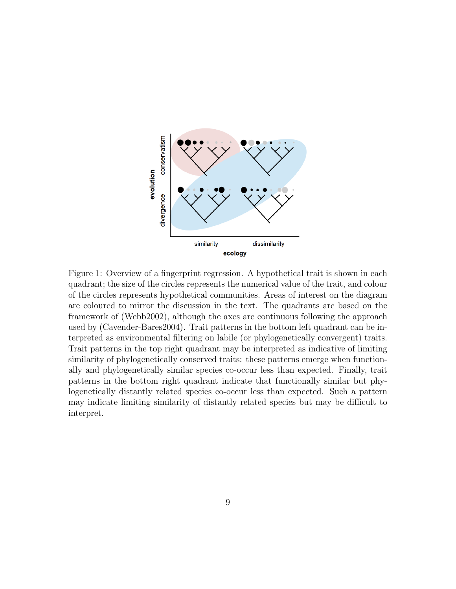

<span id="page-8-0"></span>Figure 1: Overview of a fingerprint regression. A hypothetical trait is shown in each quadrant; the size of the circles represents the numerical value of the trait, and colour of the circles represents hypothetical communities. Areas of interest on the diagram are coloured to mirror the discussion in the text. The quadrants are based on the framework of (Webb2002), although the axes are continuous following the approach used by (Cavender-Bares2004). Trait patterns in the bottom left quadrant can be interpreted as environmental filtering on labile (or phylogenetically convergent) traits. Trait patterns in the top right quadrant may be interpreted as indicative of limiting similarity of phylogenetically conserved traits: these patterns emerge when functionally and phylogenetically similar species co-occur less than expected. Finally, trait patterns in the bottom right quadrant indicate that functionally similar but phylogenetically distantly related species co-occur less than expected. Such a pattern may indicate limiting similarity of distantly related species but may be difficult to interpret.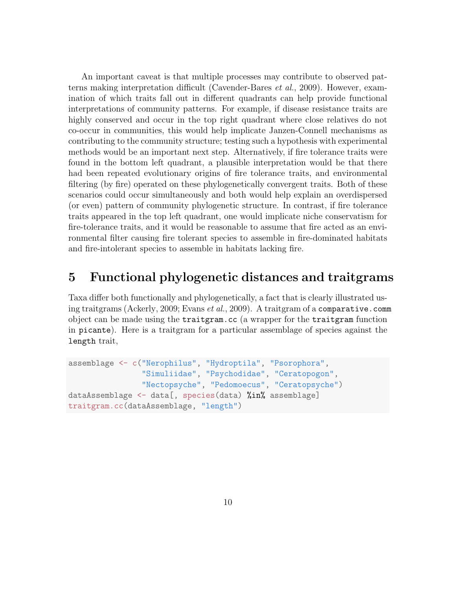An important caveat is that multiple processes may contribute to observed patterns making interpretation difficult [\(Cavender-Bares](#page-15-5) et al., [2009\)](#page-15-5). However, examination of which traits fall out in different quadrants can help provide functional interpretations of community patterns. For example, if disease resistance traits are highly conserved and occur in the top right quadrant where close relatives do not co-occur in communities, this would help implicate Janzen-Connell mechanisms as contributing to the community structure; testing such a hypothesis with experimental methods would be an important next step. Alternatively, if fire tolerance traits were found in the bottom left quadrant, a plausible interpretation would be that there had been repeated evolutionary origins of fire tolerance traits, and environmental filtering (by fire) operated on these phylogenetically convergent traits. Both of these scenarios could occur simultaneously and both would help explain an overdispersed (or even) pattern of community phylogenetic structure. In contrast, if fire tolerance traits appeared in the top left quadrant, one would implicate niche conservatism for fire-tolerance traits, and it would be reasonable to assume that fire acted as an environmental filter causing fire tolerant species to assemble in fire-dominated habitats and fire-intolerant species to assemble in habitats lacking fire.

## <span id="page-9-0"></span>5 Functional phylogenetic distances and traitgrams

Taxa differ both functionally and phylogenetically, a fact that is clearly illustrated us-ing traitgrams [\(Ackerly,](#page-15-6) [2009;](#page-15-6) [Evans](#page-15-7) *et al.*, [2009\)](#page-15-7). A traitgram of a comparative.comm object can be made using the traitgram.cc (a wrapper for the traitgram function in picante). Here is a traitgram for a particular assemblage of species against the length trait,

```
assemblage <- c("Nerophilus", "Hydroptila", "Psorophora",
                "Simuliidae", "Psychodidae", "Ceratopogon",
                "Nectopsyche", "Pedomoecus", "Ceratopsyche")
dataAssemblage <- data[, species(data) %in% assemblage]
traitgram.cc(dataAssemblage, "length")
```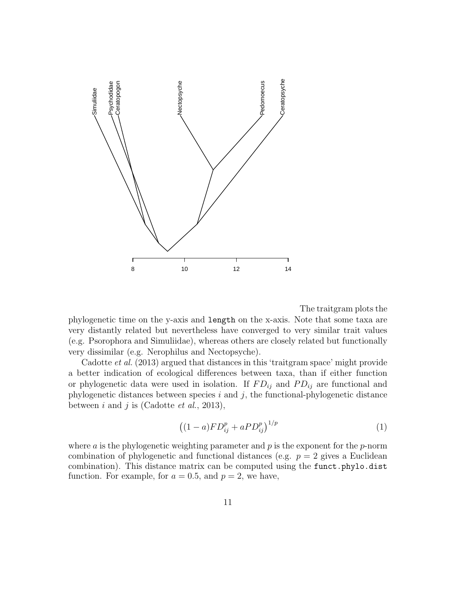

The traitgram plots the

phylogenetic time on the y-axis and length on the x-axis. Note that some taxa are very distantly related but nevertheless have converged to very similar trait values (e.g. Psorophora and Simuliidae), whereas others are closely related but functionally very dissimilar (e.g. Nerophilus and Nectopsyche).

[Cadotte](#page-15-0) et al. [\(2013\)](#page-15-0) argued that distances in this 'traitgram space' might provide a better indication of ecological differences between taxa, than if either function or phylogenetic data were used in isolation. If  $FD_{ij}$  and  $PD_{ij}$  are functional and phylogenetic distances between species  $i$  and  $j$ , the functional-phylogenetic distance between i and j is [\(Cadotte](#page-15-0) *et al.*, [2013\)](#page-15-0),

$$
((1-a)FD_{ij}^p + aPD_{ij}^p)^{1/p} \tag{1}
$$

where  $\alpha$  is the phylogenetic weighting parameter and  $p$  is the exponent for the  $p$ -norm combination of phylogenetic and functional distances (e.g.  $p = 2$  gives a Euclidean combination). This distance matrix can be computed using the funct.phylo.dist function. For example, for  $a = 0.5$ , and  $p = 2$ , we have,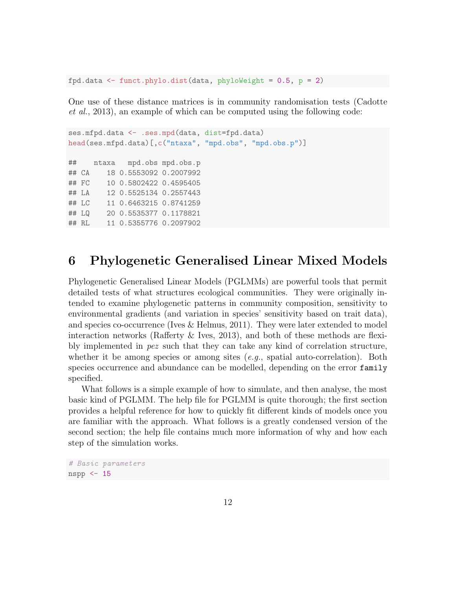fpd.data  $\leq$  funct.phylo.dist(data, phyloWeight = 0.5, p = 2)

One use of these distance matrices is in community randomisation tests [\(Cadotte](#page-15-0) [et al.](#page-15-0), [2013\)](#page-15-0), an example of which can be computed using the following code:

```
ses.mfpd.data <- .ses.mpd(data, dist=fpd.data)
head(ses.mfpd.data)[,c("ntaxa", "mpd.obs", "mpd.obs.p")]
## ntaxa mpd.obs mpd.obs.p
## CA 18 0.5553092 0.2007992
## FC 10 0.5802422 0.4595405
## LA 12 0.5525134 0.2557443
## LC 11 0.6463215 0.8741259
## LQ 20 0.5535377 0.1178821
## RL 11 0.5355776 0.2097902
```
## <span id="page-11-0"></span>6 Phylogenetic Generalised Linear Mixed Models

Phylogenetic Generalised Linear Models (PGLMMs) are powerful tools that permit detailed tests of what structures ecological communities. They were originally intended to examine phylogenetic patterns in community composition, sensitivity to environmental gradients (and variation in species' sensitivity based on trait data), and species co-occurrence (Ives  $&$  Helmus, [2011\)](#page-16-5). They were later extended to model interaction networks [\(Rafferty & Ives,](#page-16-6) [2013\)](#page-16-6), and both of these methods are flexibly implemented in pez such that they can take any kind of correlation structure, whether it be among species or among sites  $(e,q)$ , spatial auto-correlation). Both species occurrence and abundance can be modelled, depending on the error family specified.

What follows is a simple example of how to simulate, and then analyse, the most basic kind of PGLMM. The help file for PGLMM is quite thorough; the first section provides a helpful reference for how to quickly fit different kinds of models once you are familiar with the approach. What follows is a greatly condensed version of the second section; the help file contains much more information of why and how each step of the simulation works.

```
# Basic parameters
nspp <- 15
```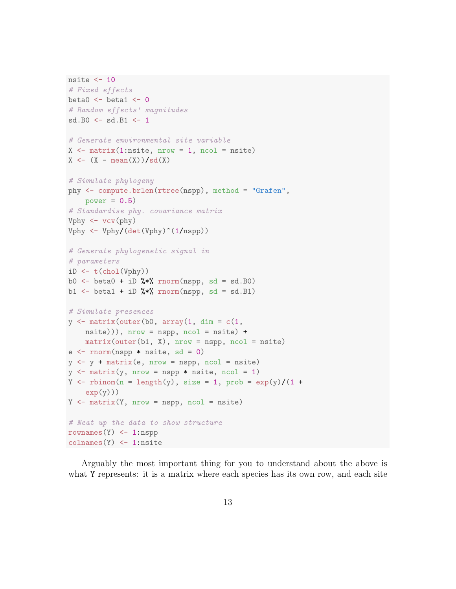```
nsite \leftarrow 10
# Fixed effects
beta0 \le - beta1 \le - 0
# Random effects' magnitudes
sd.B0 \leq - sd.B1 \leq -1# Generate environmental site variable
X \leftarrow matrix(1:nsite, nrow = 1, ncol = nsite)X \leftarrow (X - \text{mean}(X)) / \text{sd}(X)# Simulate phylogeny
phy <- compute.brlen(rtree(nspp), method = "Grafen",
    power = 0.5)
# Standardise phy. covariance matrix
Vphy <- vcv(phy)
Vphy <- Vphy/(det(Vphy)^(1/nspp))
# Generate phylogenetic signal in
# parameters
iD \leftarrow t(chol(Vphy))b0 <- beta0 + iD %*% rnorm(nspp, sd = sd.B0)
b1 \le beta1 + iD %*% rnorm(nspp, sd = sd.B1)
# Simulate presences
y \leftarrow \text{matrix}(\text{outer}(b0, \text{array}(1, \text{dim} = c(1,nsite)), nrow = nspp, ncol = nsite) +matrix(outer(b1, X), nrow = nspp, ncol = nsite)e \leftarrow \text{norm}(\text{nspp} * \text{nsite}, \text{sd} = 0)y \leftarrow y + \text{matrix}(e, nrow = nspp, ncol = nsite)y \leftarrow \text{matrix}(y, nrow = nspp * nsite, ncol = 1)Y \le rbinom(n = length(y), size = 1, prob = exp(y)/(1 +
    exp(y))Y \leftarrow matrix(Y, nrow = nspp, ncol = nsite)# Neat up the data to show structure
rownames(Y) <-1:nspp
colnames(Y) <- 1:nsite
```
Arguably the most important thing for you to understand about the above is what Y represents: it is a matrix where each species has its own row, and each site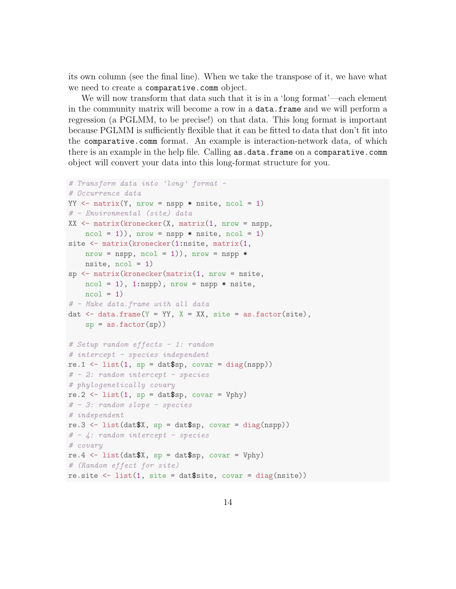its own column (see the final line). When we take the transpose of it, we have what we need to create a comparative.comm object.

We will now transform that data such that it is in a 'long format'—each element in the community matrix will become a row in a data.frame and we will perform a regression (a PGLMM, to be precise!) on that data. This long format is important because PGLMM is sufficiently flexible that it can be fitted to data that don't fit into the comparative.comm format. An example is interaction-network data, of which there is an example in the help file. Calling as.data.frame on a comparative.comm object will convert your data into this long-format structure for you.

```
# Transform data into 'long' format -
# Occurrence data
YY < - matrix(Y, nrow = nspp * nsite, ncol = 1)
# - Environmental (site) data
XX \leftarrow \text{matrix}(kronecker(X, matrix(1, nrow = nspp))ncol = 1), nrow = nspp * nsite, ncol = 1site <- matrix(kronecker(1:nsite, matrix(1,
    nrow = nspp, ncol = 1), nrow = nspp *nsite, ncol = 1)
sp <- matrix(kronecker(matrix(1, nrow = nsite,
    ncol = 1, 1:nspp, nrow = nsp * nsite,
    ncol = 1# - Make data.frame with all data
dat \leq data.frame(Y = YY, X = XX, site = as.factor(site),
    sp = as.factor(sp))# Setup random effects - 1: random
# intercept - species independent
re.1 \leftarrow list(1, sp = dat$sp, covar = diag(nspp))
# - 2: random intercept - species
# phylogenetically covary
re.2 \leftarrow list(1, sp = dat$sp, covar = Vphy)
# - 3: random slope - species
# independent
re.3 \leq list(data,X, sp = data\gp, covar = diag(nspp))# - 4: random intercept - species
# covary
re.4 \leftarrow list(dat$X, sp = dat$sp, covar = Vphy)
# (Random effect for site)
re.site \leftarrow list(1, site = dat$site, covar = diag(nsite))
```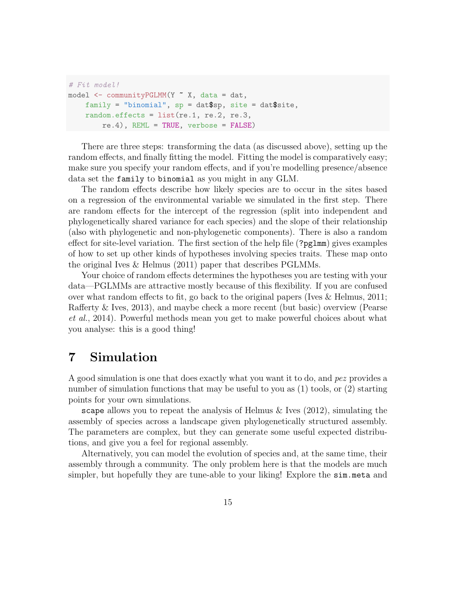```
# Fit model!
model <- communityPGLMM(Y ~ X, data = dat,
    family = "binomial", sp = data$sp, site = dat$site,
    random.effects = list(re.1, re.2, re.3,re.4), REML = TRUE, verbose = FALSE)
```
There are three steps: transforming the data (as discussed above), setting up the random effects, and finally fitting the model. Fitting the model is comparatively easy; make sure you specify your random effects, and if you're modelling presence/absence data set the family to binomial as you might in any GLM.

The random effects describe how likely species are to occur in the sites based on a regression of the environmental variable we simulated in the first step. There are random effects for the intercept of the regression (split into independent and phylogenetically shared variance for each species) and the slope of their relationship (also with phylogenetic and non-phylogenetic components). There is also a random effect for site-level variation. The first section of the help file  $(?pglmm)$  gives examples of how to set up other kinds of hypotheses involving species traits. These map onto the original [Ives & Helmus](#page-16-5) [\(2011\)](#page-16-5) paper that describes PGLMMs.

Your choice of random effects determines the hypotheses you are testing with your data—PGLMMs are attractive mostly because of this flexibility. If you are confused over what random effects to fit, go back to the original papers [\(Ives & Helmus,](#page-16-5) [2011;](#page-16-5) [Rafferty & Ives,](#page-16-6) [2013\)](#page-16-6), and maybe check a more recent (but basic) overview [\(Pearse](#page-16-3) [et al.](#page-16-3), [2014\)](#page-16-3). Powerful methods mean you get to make powerful choices about what you analyse: this is a good thing!

#### <span id="page-14-0"></span>7 Simulation

A good simulation is one that does exactly what you want it to do, and pez provides a number of simulation functions that may be useful to you as (1) tools, or (2) starting points for your own simulations.

scape allows you to repeat the analysis of Helmus  $\&$  Ives [\(2012\)](#page-15-8), simulating the assembly of species across a landscape given phylogenetically structured assembly. The parameters are complex, but they can generate some useful expected distributions, and give you a feel for regional assembly.

Alternatively, you can model the evolution of species and, at the same time, their assembly through a community. The only problem here is that the models are much simpler, but hopefully they are tune-able to your liking! Explore the sim.meta and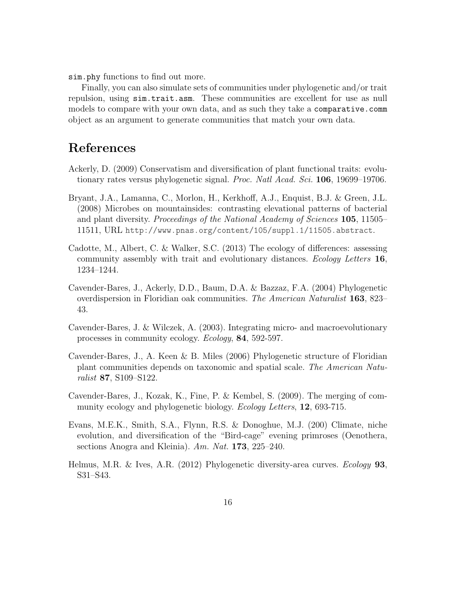sim.phy functions to find out more.

Finally, you can also simulate sets of communities under phylogenetic and/or trait repulsion, using sim.trait.asm. These communities are excellent for use as null models to compare with your own data, and as such they take a comparative.comm object as an argument to generate communities that match your own data.

# References

- <span id="page-15-6"></span>Ackerly, D. (2009) Conservatism and diversification of plant functional traits: evolutionary rates versus phylogenetic signal. Proc. Natl Acad. Sci. 106, 19699–19706.
- <span id="page-15-1"></span>Bryant, J.A., Lamanna, C., Morlon, H., Kerkhoff, A.J., Enquist, B.J. & Green, J.L. (2008) Microbes on mountainsides: contrasting elevational patterns of bacterial and plant diversity. Proceedings of the National Academy of Sciences 105, 11505– 11511, URL <http://www.pnas.org/content/105/suppl.1/11505.abstract>.
- <span id="page-15-0"></span>Cadotte, M., Albert, C. & Walker, S.C. (2013) The ecology of differences: assessing community assembly with trait and evolutionary distances. Ecology Letters 16, 1234–1244.
- <span id="page-15-3"></span>Cavender-Bares, J., Ackerly, D.D., Baum, D.A. & Bazzaz, F.A. (2004) Phylogenetic overdispersion in Floridian oak communities. The American Naturalist 163, 823– 43.
- <span id="page-15-2"></span>Cavender-Bares, J. & Wilczek, A. (2003). Integrating micro- and macroevolutionary processes in community ecology. Ecology, 84, 592-597.
- <span id="page-15-4"></span>Cavender-Bares, J., A. Keen & B. Miles (2006) Phylogenetic structure of Floridian plant communities depends on taxonomic and spatial scale. The American Naturalist 87, S109–S122.
- <span id="page-15-5"></span>Cavender-Bares, J., Kozak, K., Fine, P. & Kembel, S. (2009). The merging of community ecology and phylogenetic biology. *Ecology Letters*, **12**, 693-715.
- <span id="page-15-7"></span>Evans, M.E.K., Smith, S.A., Flynn, R.S. & Donoghue, M.J. (200) Climate, niche evolution, and diversification of the "Bird-cage" evening primroses (Oenothera, sections Anogra and Kleinia). Am. Nat. 173, 225–240.
- <span id="page-15-8"></span>Helmus, M.R. & Ives, A.R. (2012) Phylogenetic diversity-area curves. Ecology 93, S31–S43.